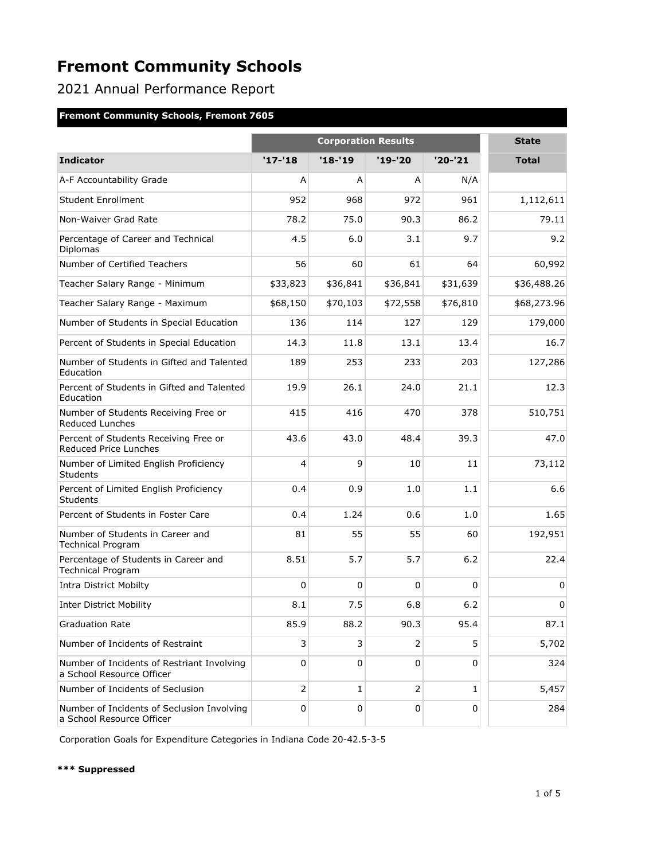2021 Annual Performance Report

### **Fremont Community Schools, Fremont 7605**

|                                                                         | <b>Corporation Results</b> |           |                |              | <b>State</b> |
|-------------------------------------------------------------------------|----------------------------|-----------|----------------|--------------|--------------|
| <b>Indicator</b>                                                        | $'17 - 18$                 | $'18-19$  | '19-'20        | $'20 - '21$  | <b>Total</b> |
| A-F Accountability Grade                                                | A                          | A         | A              | N/A          |              |
| Student Enrollment                                                      | 952                        | 968       | 972            | 961          | 1,112,611    |
| Non-Waiver Grad Rate                                                    | 78.2                       | 75.0      | 90.3           | 86.2         | 79.11        |
| Percentage of Career and Technical<br>Diplomas                          | 4.5                        | 6.0       | 3.1            | 9.7          | 9.2          |
| Number of Certified Teachers                                            | 56                         | 60        | 61             | 64           | 60,992       |
| Teacher Salary Range - Minimum                                          | \$33,823                   | \$36,841  | \$36,841       | \$31,639     | \$36,488.26  |
| Teacher Salary Range - Maximum                                          | \$68,150                   | \$70,103  | \$72,558       | \$76,810     | \$68,273.96  |
| Number of Students in Special Education                                 | 136                        | 114       | 127            | 129          | 179,000      |
| Percent of Students in Special Education                                | 14.3                       | 11.8      | 13.1           | 13.4         | 16.7         |
| Number of Students in Gifted and Talented<br>Education                  | 189                        | 253       | 233            | 203          | 127,286      |
| Percent of Students in Gifted and Talented<br>Education                 | 19.9                       | 26.1      | 24.0           | 21.1         | 12.3         |
| Number of Students Receiving Free or<br>Reduced Lunches                 | 415                        | 416       | 470            | 378          | 510,751      |
| Percent of Students Receiving Free or<br>Reduced Price Lunches          | 43.6                       | 43.0      | 48.4           | 39.3         | 47.0         |
| Number of Limited English Proficiency<br><b>Students</b>                | 4                          | 9         | 10             | 11           | 73,112       |
| Percent of Limited English Proficiency<br>Students                      | 0.4                        | 0.9       | 1.0            | 1.1          | 6.6          |
| Percent of Students in Foster Care                                      | 0.4                        | 1.24      | 0.6            | 1.0          | 1.65         |
| Number of Students in Career and<br><b>Technical Program</b>            | 81                         | 55        | 55             | 60           | 192,951      |
| Percentage of Students in Career and<br><b>Technical Program</b>        | 8.51                       | 5.7       | 5.7            | 6.2          | 22.4         |
| <b>Intra District Mobilty</b>                                           | $\mathbf 0$                | 0         | $\Omega$       | 0            | 0            |
| <b>Inter District Mobility</b>                                          | 8.1                        | 7.5       | 6.8            | 6.2          | $\mathbf 0$  |
| <b>Graduation Rate</b>                                                  | 85.9                       | 88.2      | 90.3           | 95.4         | 87.1         |
| Number of Incidents of Restraint                                        | 3                          | 3         | 2              | 5            | 5,702        |
| Number of Incidents of Restriant Involving<br>a School Resource Officer | $\mathbf 0$                | 0         | $\Omega$       | 0            | 324          |
| Number of Incidents of Seclusion                                        | $\overline{2}$             | 1         | $\overline{2}$ | $\mathbf{1}$ | 5,457        |
| Number of Incidents of Seclusion Involving<br>a School Resource Officer | $\pmb{0}$                  | $\pmb{0}$ | $\mathbf 0$    | 0            | 284          |

Corporation Goals for Expenditure Categories in Indiana Code 20-42.5-3-5

#### **\*\*\* Suppressed**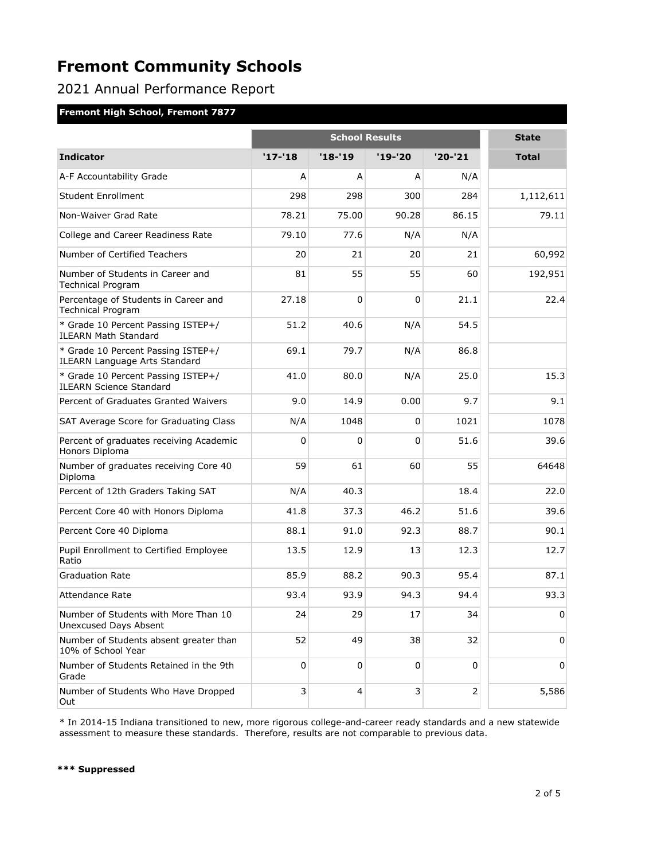## 2021 Annual Performance Report

### **Fremont High School, Fremont 7877**

|                                                                            | <b>School Results</b> |          |         |                | <b>State</b> |
|----------------------------------------------------------------------------|-----------------------|----------|---------|----------------|--------------|
| <b>Indicator</b>                                                           | $'17 - 18$            | $'18-19$ | '19-'20 | $'20-'21$      | <b>Total</b> |
| A-F Accountability Grade                                                   | А                     | A        | A       | N/A            |              |
| <b>Student Enrollment</b>                                                  | 298                   | 298      | 300     | 284            | 1,112,611    |
| Non-Waiver Grad Rate                                                       | 78.21                 | 75.00    | 90.28   | 86.15          | 79.11        |
| College and Career Readiness Rate                                          | 79.10                 | 77.6     | N/A     | N/A            |              |
| Number of Certified Teachers                                               | 20                    | 21       | 20      | 21             | 60,992       |
| Number of Students in Career and<br><b>Technical Program</b>               | 81                    | 55       | 55      | 60             | 192,951      |
| Percentage of Students in Career and<br><b>Technical Program</b>           | 27.18                 | $\Omega$ | 0       | 21.1           | 22.4         |
| * Grade 10 Percent Passing ISTEP+/<br><b>ILEARN Math Standard</b>          | 51.2                  | 40.6     | N/A     | 54.5           |              |
| * Grade 10 Percent Passing ISTEP+/<br><b>ILEARN Language Arts Standard</b> | 69.1                  | 79.7     | N/A     | 86.8           |              |
| * Grade 10 Percent Passing ISTEP+/<br><b>ILEARN Science Standard</b>       | 41.0                  | 80.0     | N/A     | 25.0           | 15.3         |
| Percent of Graduates Granted Waivers                                       | 9.0                   | 14.9     | 0.00    | 9.7            | 9.1          |
| SAT Average Score for Graduating Class                                     | N/A                   | 1048     | 0       | 1021           | 1078         |
| Percent of graduates receiving Academic<br>Honors Diploma                  | 0                     | 0        | 0       | 51.6           | 39.6         |
| Number of graduates receiving Core 40<br>Diploma                           | 59                    | 61       | 60      | 55             | 64648        |
| Percent of 12th Graders Taking SAT                                         | N/A                   | 40.3     |         | 18.4           | 22.0         |
| Percent Core 40 with Honors Diploma                                        | 41.8                  | 37.3     | 46.2    | 51.6           | 39.6         |
| Percent Core 40 Diploma                                                    | 88.1                  | 91.0     | 92.3    | 88.7           | 90.1         |
| Pupil Enrollment to Certified Employee<br>Ratio                            | 13.5                  | 12.9     | 13      | 12.3           | 12.7         |
| <b>Graduation Rate</b>                                                     | 85.9                  | 88.2     | 90.3    | 95.4           | 87.1         |
| Attendance Rate                                                            | 93.4                  | 93.9     | 94.3    | 94.4           | 93.3         |
| Number of Students with More Than 10<br><b>Unexcused Days Absent</b>       | 24                    | 29       | 17      | 34             | 0            |
| Number of Students absent greater than<br>10% of School Year               | 52                    | 49       | 38      | 32             | 0            |
| Number of Students Retained in the 9th<br>Grade                            | 0                     | 0        | 0       | 0              | 0            |
| Number of Students Who Have Dropped<br>Out                                 | 3                     | 4        | 3       | $\mathsf{2}\,$ | 5,586        |

\* In 2014-15 Indiana transitioned to new, more rigorous college-and-career ready standards and a new statewide assessment to measure these standards. Therefore, results are not comparable to previous data.

#### **\*\*\* Suppressed**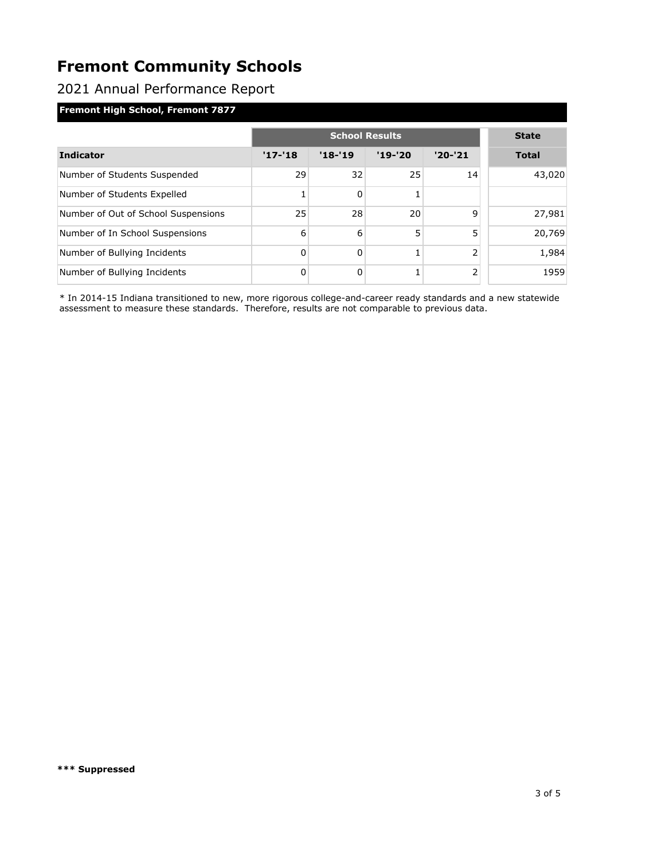### 2021 Annual Performance Report

### **Fremont High School, Fremont 7877**

|                                     | <b>School Results</b> |          |           |                | <b>State</b> |
|-------------------------------------|-----------------------|----------|-----------|----------------|--------------|
| <b>Indicator</b>                    | $'17 - 18$            | $'18-19$ | $'19-'20$ | $'20-'21$      | <b>Total</b> |
| Number of Students Suspended        | 29                    | 32       | 25        | 14             | 43,020       |
| Number of Students Expelled         |                       | 0        |           |                |              |
| Number of Out of School Suspensions | 25                    | 28       | 20        | $\mathsf{q}$   | 27,981       |
| Number of In School Suspensions     | 6                     | 6        | 5         | 5              | 20,769       |
| Number of Bullying Incidents        | 0                     | 0        |           | 2              | 1,984        |
| Number of Bullying Incidents        | 0                     | 0        |           | $\overline{2}$ | 1959         |

\* In 2014-15 Indiana transitioned to new, more rigorous college-and-career ready standards and a new statewide assessment to measure these standards. Therefore, results are not comparable to previous data.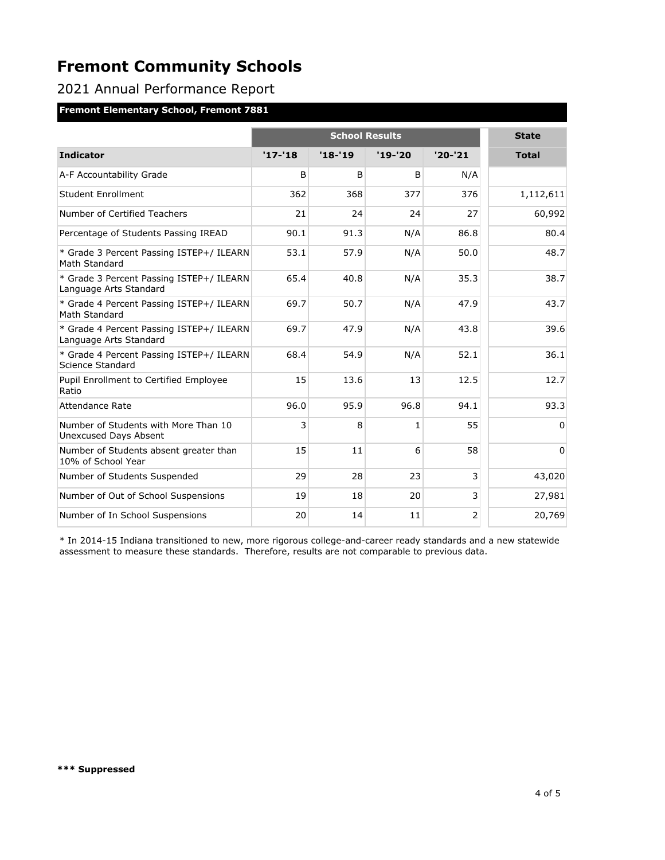2021 Annual Performance Report

### **Fremont Elementary School, Fremont 7881**

|                                                                    | <b>School Results</b> |            |           |             | <b>State</b> |
|--------------------------------------------------------------------|-----------------------|------------|-----------|-------------|--------------|
| <b>Indicator</b>                                                   | $'17 - 18$            | $'18 - 19$ | $'19-'20$ | $'20 - '21$ | <b>Total</b> |
| A-F Accountability Grade                                           | B                     | B          | B         | N/A         |              |
| Student Enrollment                                                 | 362                   | 368        | 377       | 376         | 1,112,611    |
| Number of Certified Teachers                                       | 21                    | 24         | 24        | 27          | 60,992       |
| Percentage of Students Passing IREAD                               | 90.1                  | 91.3       | N/A       | 86.8        | 80.4         |
| * Grade 3 Percent Passing ISTEP+/ ILEARN<br>Math Standard          | 53.1                  | 57.9       | N/A       | 50.0        | 48.7         |
| * Grade 3 Percent Passing ISTEP+/ ILEARN<br>Language Arts Standard | 65.4                  | 40.8       | N/A       | 35.3        | 38.7         |
| * Grade 4 Percent Passing ISTEP+/ ILEARN<br>Math Standard          | 69.7                  | 50.7       | N/A       | 47.9        | 43.7         |
| * Grade 4 Percent Passing ISTEP+/ ILEARN<br>Language Arts Standard | 69.7                  | 47.9       | N/A       | 43.8        | 39.6         |
| * Grade 4 Percent Passing ISTEP+/ ILEARN<br>Science Standard       | 68.4                  | 54.9       | N/A       | 52.1        | 36.1         |
| Pupil Enrollment to Certified Employee<br>Ratio                    | 15                    | 13.6       | 13        | 12.5        | 12.7         |
| <b>Attendance Rate</b>                                             | 96.0                  | 95.9       | 96.8      | 94.1        | 93.3         |
| Number of Students with More Than 10<br>Unexcused Days Absent      | 3                     | 8          | 1         | 55          | $\Omega$     |
| Number of Students absent greater than<br>10% of School Year       | 15                    | 11         | 6         | 58          | $\Omega$     |
| Number of Students Suspended                                       | 29                    | 28         | 23        | 3           | 43,020       |
| Number of Out of School Suspensions                                | 19                    | 18         | 20        | 3           | 27,981       |
| Number of In School Suspensions                                    | 20                    | 14         | 11        | 2           | 20,769       |

\* In 2014-15 Indiana transitioned to new, more rigorous college-and-career ready standards and a new statewide assessment to measure these standards. Therefore, results are not comparable to previous data.